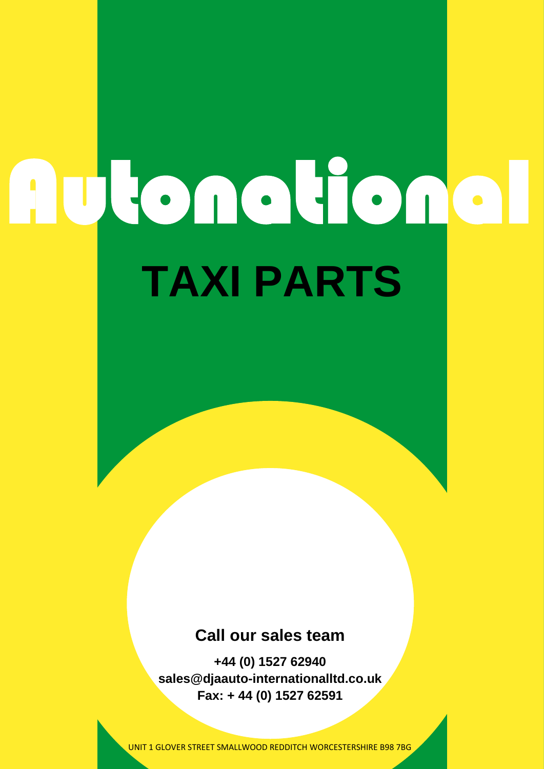# **TAXI PARTS** Autonational

#### **Call our sales team**

**+44 (0) 1527 62940 sales@djaauto-internationalltd.co.uk Fax: + 44 (0) 1527 62591**

UNIT 1 GLOVER STREET SMALLWOOD REDDITCH WORCESTERSHIRE B98 7BG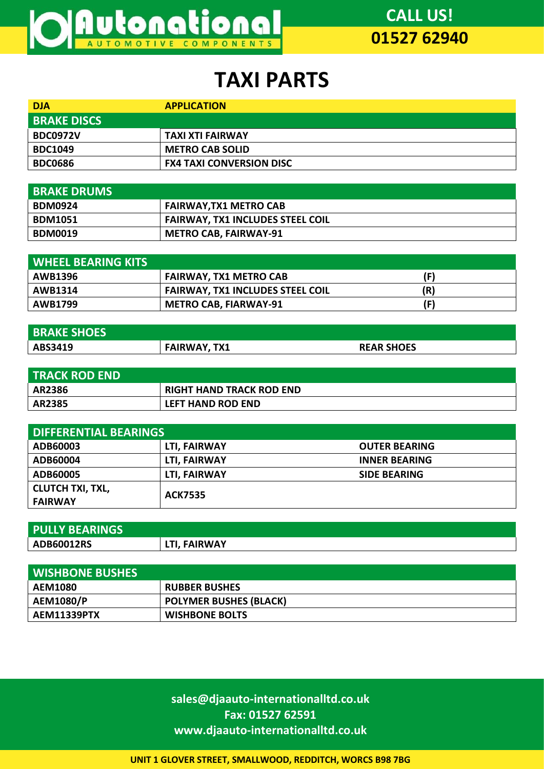

## **TAXI PARTS**

| <b>DJA</b>         | <b>APPLICATION</b>              |
|--------------------|---------------------------------|
| <b>BRAKE DISCS</b> |                                 |
| <b>BDC0972V</b>    | TAXI XTI FAIRWAY                |
| <b>BDC1049</b>     | <b>METRO CAB SOLID</b>          |
| <b>BDC0686</b>     | <b>FX4 TAXI CONVERSION DISC</b> |

| <b>BRAKE DRUMS</b> |                                         |
|--------------------|-----------------------------------------|
| <b>BDM0924</b>     | <b>FAIRWAY, TX1 METRO CAB</b>           |
| <b>BDM1051</b>     | <b>FAIRWAY, TX1 INCLUDES STEEL COIL</b> |
| <b>BDM0019</b>     | <b>METRO CAB, FAIRWAY-91</b>            |

| <b>WHEEL BEARING KITS</b> |                                         |     |
|---------------------------|-----------------------------------------|-----|
| <b>AWB1396</b>            | <b>FAIRWAY, TX1 METRO CAB</b>           |     |
| <b>AWB1314</b>            | <b>FAIRWAY, TX1 INCLUDES STEEL COIL</b> | (R) |
| <b>AWB1799</b>            | <b>METRO CAB, FIARWAY-91</b>            |     |

| <b>BRAKE SHOES</b> |                     |                   |
|--------------------|---------------------|-------------------|
| ABS3419            | <b>FAIRWAY, TX1</b> | <b>REAR SHOES</b> |

| <b>TRACK ROD END</b> |                                 |
|----------------------|---------------------------------|
| <b>AR2386</b>        | <b>RIGHT HAND TRACK ROD END</b> |
| AR2385               | <b>LEFT HAND ROD END</b>        |

| <b>DIFFERENTIAL BEARINGS</b> |                |                      |
|------------------------------|----------------|----------------------|
| ADB60003                     | LTI, FAIRWAY   | <b>OUTER BEARING</b> |
| ADB60004                     | LTI, FAIRWAY   | <b>INNER BEARING</b> |
| ADB60005                     | LTI. FAIRWAY   | <b>SIDE BEARING</b>  |
| <b>CLUTCH TXI, TXL,</b>      | <b>ACK7535</b> |                      |
| <b>FAIRWAY</b>               |                |                      |

| <b>PULLY BEARINGS</b> |              |
|-----------------------|--------------|
| <b>ADB60012RS</b>     | LTI, FAIRWAY |

| <b>WISHBONE BUSHES</b> |                               |
|------------------------|-------------------------------|
| <b>AEM1080</b>         | <b>RUBBER BUSHES</b>          |
| <b>AEM1080/P</b>       | <b>POLYMER BUSHES (BLACK)</b> |
| <b>AEM11339PTX</b>     | <b>WISHBONE BOLTS</b>         |

**sales@djaauto-internationalltd.co.uk Fax: 01527 62591 www.djaauto-internationalltd.co.uk**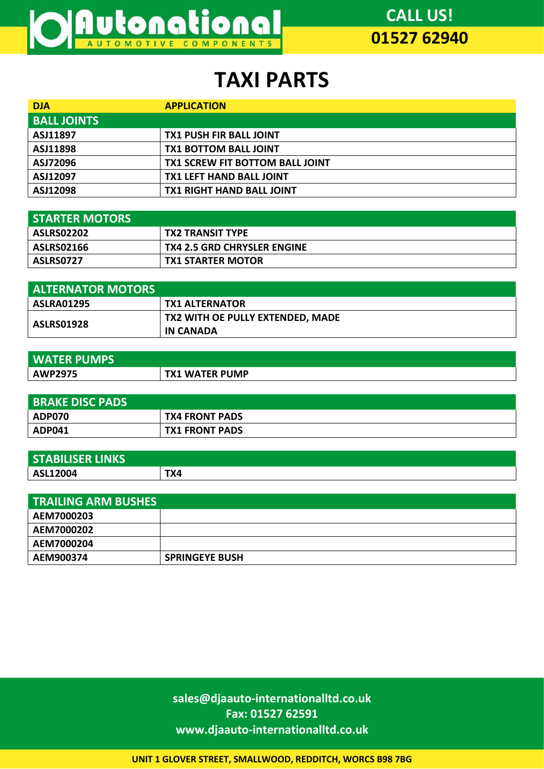

## **TAXI PARTS**

| <b>DJA</b>         | <b>APPLICATION</b>                     |
|--------------------|----------------------------------------|
| <b>BALL JOINTS</b> |                                        |
| ASJ11897           | <b>TX1 PUSH FIR BALL JOINT</b>         |
| ASJ11898           | <b>TX1 BOTTOM BALL JOINT</b>           |
| ASJ72096           | <b>TX1 SCREW FIT BOTTOM BALL JOINT</b> |
| ASJ12097           | <b>TX1 LEFT HAND BALL JOINT</b>        |
| ASJ12098           | <b>TX1 RIGHT HAND BALL JOINT</b>       |

| <b>STARTER MOTORS</b> |                                    |
|-----------------------|------------------------------------|
| ASLRS02202            | <b>TX2 TRANSIT TYPE</b>            |
| <b>ASLRS02166</b>     | <b>TX4 2.5 GRD CHRYSLER ENGINE</b> |
| ASLRS0727             | <b>TX1 STARTER MOTOR</b>           |

| <b>ALTERNATOR MOTORS</b> |                                  |
|--------------------------|----------------------------------|
| <b>ASLRA01295</b>        | <b>TX1 ALTERNATOR</b>            |
| <b>ASLRS01928</b>        | TX2 WITH OE PULLY EXTENDED, MADE |
|                          | IN CANADA                        |

| <b>WATER PUMPS</b> |                |
|--------------------|----------------|
| <b>AWP2975</b>     | TX1 WATER PUMP |

| <b>BRAKE DISC PADS</b> |                       |
|------------------------|-----------------------|
| <b>ADP070</b>          | <b>TX4 FRONT PADS</b> |
| ADP041                 | <b>TX1 FRONT PADS</b> |

| <b>STABILISER LINKS</b> |     |
|-------------------------|-----|
| ASL12004                | TX4 |

| <b>TRAILING ARM BUSHES</b> |                       |
|----------------------------|-----------------------|
| AEM7000203                 |                       |
| AEM7000202                 |                       |
| AEM7000204                 |                       |
| AEM900374                  | <b>SPRINGEYE BUSH</b> |

**sales@djaauto-internationalltd.co.uk Fax: 01527 62591 www.djaauto-internationalltd.co.uk**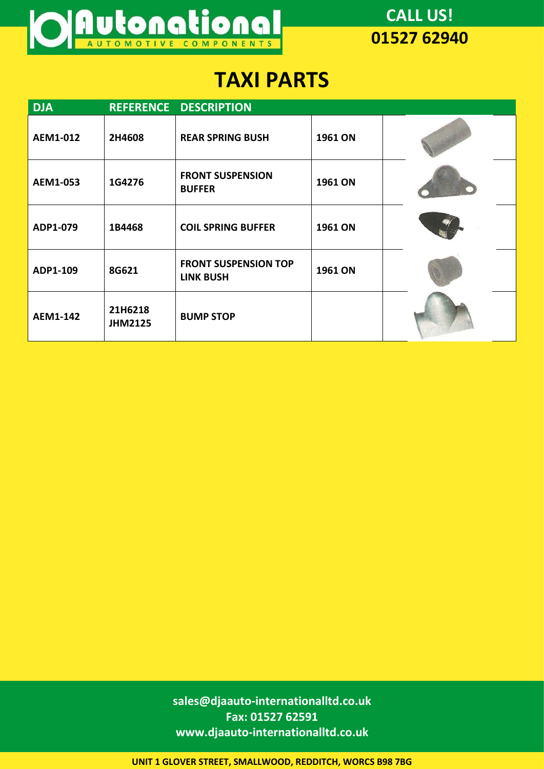

## **TAXI PARTS**

| <b>DJA</b> |                           | REFERENCE DESCRIPTION                           |         |  |
|------------|---------------------------|-------------------------------------------------|---------|--|
| AEM1-012   | 2H4608                    | <b>REAR SPRING BUSH</b>                         | 1961 ON |  |
| AEM1-053   | 1G4276                    | <b>FRONT SUSPENSION</b><br><b>BUFFER</b>        | 1961 ON |  |
| ADP1-079   | 1B4468                    | <b>COIL SPRING BUFFER</b>                       | 1961 ON |  |
| ADP1-109   | 8G621                     | <b>FRONT SUSPENSION TOP</b><br><b>LINK BUSH</b> | 1961 ON |  |
| AEM1-142   | 21H6218<br><b>JHM2125</b> | <b>BUMP STOP</b>                                |         |  |

**sales@djaauto-internationalltd.co.uk Fax: 01527 62591 www.djaauto-internationalltd.co.uk**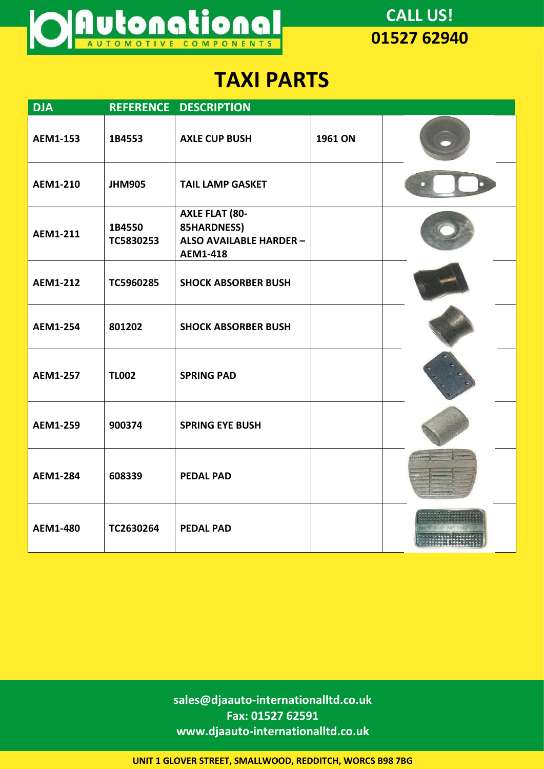

## **TAXI PARTS**

| <b>DJA</b>      |                     | REFERENCE DESCRIPTION                                                                     |         |  |
|-----------------|---------------------|-------------------------------------------------------------------------------------------|---------|--|
| AEM1-153        | 1B4553              | <b>AXLE CUP BUSH</b>                                                                      | 1961 ON |  |
| AEM1-210        | <b>JHM905</b>       | <b>TAIL LAMP GASKET</b>                                                                   |         |  |
| <b>AEM1-211</b> | 1B4550<br>TC5830253 | <b>AXLE FLAT (80-</b><br>85HARDNESS)<br><b>ALSO AVAILABLE HARDER -</b><br><b>AEM1-418</b> |         |  |
| <b>AEM1-212</b> | TC5960285           | <b>SHOCK ABSORBER BUSH</b>                                                                |         |  |
| <b>AEM1-254</b> | 801202              | <b>SHOCK ABSORBER BUSH</b>                                                                |         |  |
| <b>AEM1-257</b> | <b>TL002</b>        | <b>SPRING PAD</b>                                                                         |         |  |
| <b>AEM1-259</b> | 900374              | <b>SPRING EYE BUSH</b>                                                                    |         |  |
| <b>AEM1-284</b> | 608339              | <b>PEDAL PAD</b>                                                                          |         |  |
| AEM1-480        | TC2630264           | <b>PEDAL PAD</b>                                                                          |         |  |

**sales@djaauto-internationalltd.co.uk Fax: 01527 62591 www.djaauto-internationalltd.co.uk**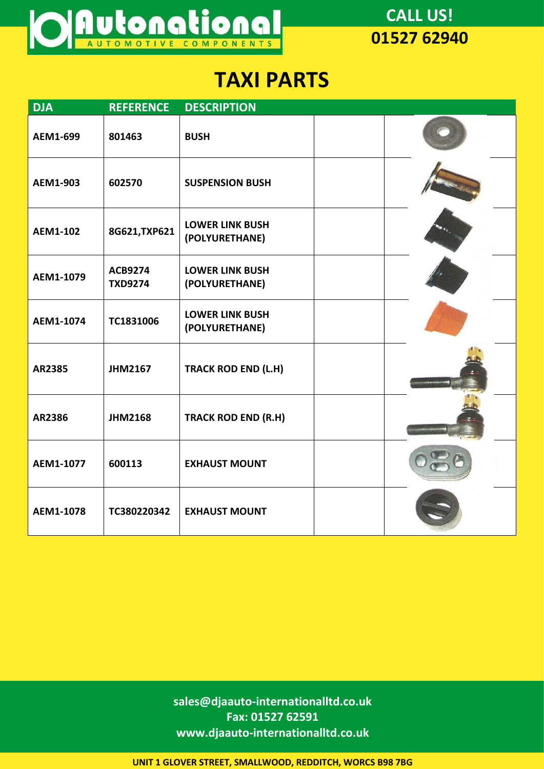

## **TAXI PARTS**

| <b>DJA</b> | <b>REFERENCE</b>                 | <b>DESCRIPTION</b>                       |  |
|------------|----------------------------------|------------------------------------------|--|
| AEM1-699   | 801463                           | <b>BUSH</b>                              |  |
| AEM1-903   | 602570                           | <b>SUSPENSION BUSH</b>                   |  |
| AEM1-102   | 8G621, TXP621                    | <b>LOWER LINK BUSH</b><br>(POLYURETHANE) |  |
| AEM1-1079  | <b>ACB9274</b><br><b>TXD9274</b> | <b>LOWER LINK BUSH</b><br>(POLYURETHANE) |  |
| AEM1-1074  | TC1831006                        | <b>LOWER LINK BUSH</b><br>(POLYURETHANE) |  |
| AR2385     | <b>JHM2167</b>                   | <b>TRACK ROD END (L.H)</b>               |  |
| AR2386     | <b>JHM2168</b>                   | <b>TRACK ROD END (R.H)</b>               |  |
| AEM1-1077  | 600113                           | <b>EXHAUST MOUNT</b>                     |  |
| AEM1-1078  | TC380220342                      | <b>EXHAUST MOUNT</b>                     |  |

**sales@djaauto-internationalltd.co.uk Fax: 01527 62591 www.djaauto-internationalltd.co.uk**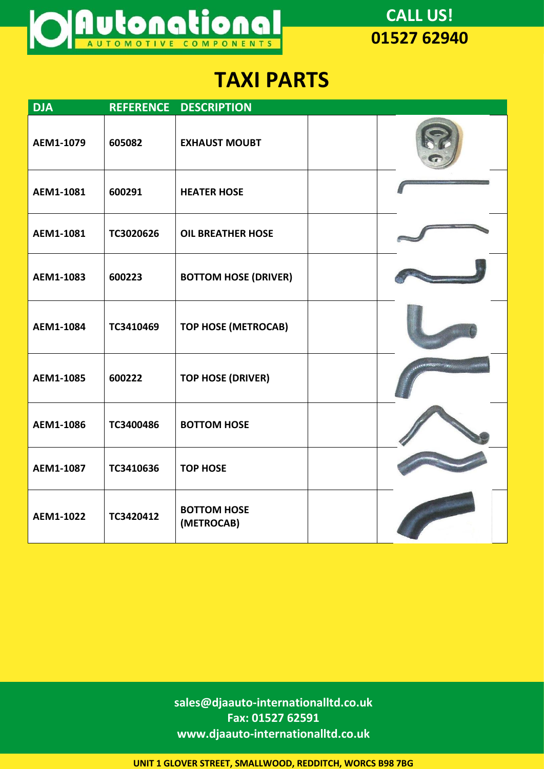

#### **TAXI PARTS**

| <b>DJA</b> | <b>REFERENCE</b> | <b>DESCRIPTION</b>               |  |
|------------|------------------|----------------------------------|--|
| AEM1-1079  | 605082           | <b>EXHAUST MOUBT</b>             |  |
| AEM1-1081  | 600291           | <b>HEATER HOSE</b>               |  |
| AEM1-1081  | TC3020626        | <b>OIL BREATHER HOSE</b>         |  |
| AEM1-1083  | 600223           | <b>BOTTOM HOSE (DRIVER)</b>      |  |
| AEM1-1084  | TC3410469        | <b>TOP HOSE (METROCAB)</b>       |  |
| AEM1-1085  | 600222           | <b>TOP HOSE (DRIVER)</b>         |  |
| AEM1-1086  | TC3400486        | <b>BOTTOM HOSE</b>               |  |
| AEM1-1087  | TC3410636        | <b>TOP HOSE</b>                  |  |
| AEM1-1022  | TC3420412        | <b>BOTTOM HOSE</b><br>(METROCAB) |  |

**sales@djaauto-internationalltd.co.uk Fax: 01527 62591 www.djaauto-internationalltd.co.uk**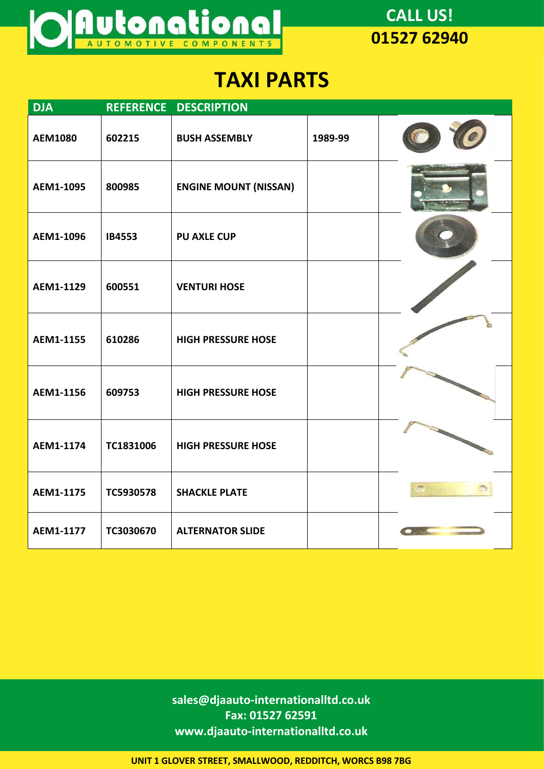

## **TAXI PARTS**

| <b>DJA</b>     |           | REFERENCE DESCRIPTION        |         |  |
|----------------|-----------|------------------------------|---------|--|
| <b>AEM1080</b> | 602215    | <b>BUSH ASSEMBLY</b>         | 1989-99 |  |
| AEM1-1095      | 800985    | <b>ENGINE MOUNT (NISSAN)</b> |         |  |
| AEM1-1096      | IB4553    | <b>PU AXLE CUP</b>           |         |  |
| AEM1-1129      | 600551    | <b>VENTURI HOSE</b>          |         |  |
| AEM1-1155      | 610286    | <b>HIGH PRESSURE HOSE</b>    |         |  |
| AEM1-1156      | 609753    | <b>HIGH PRESSURE HOSE</b>    |         |  |
| AEM1-1174      | TC1831006 | <b>HIGH PRESSURE HOSE</b>    |         |  |
| AEM1-1175      | TC5930578 | <b>SHACKLE PLATE</b>         |         |  |
| AEM1-1177      | TC3030670 | <b>ALTERNATOR SLIDE</b>      |         |  |

**sales@djaauto-internationalltd.co.uk Fax: 01527 62591 www.djaauto-internationalltd.co.uk**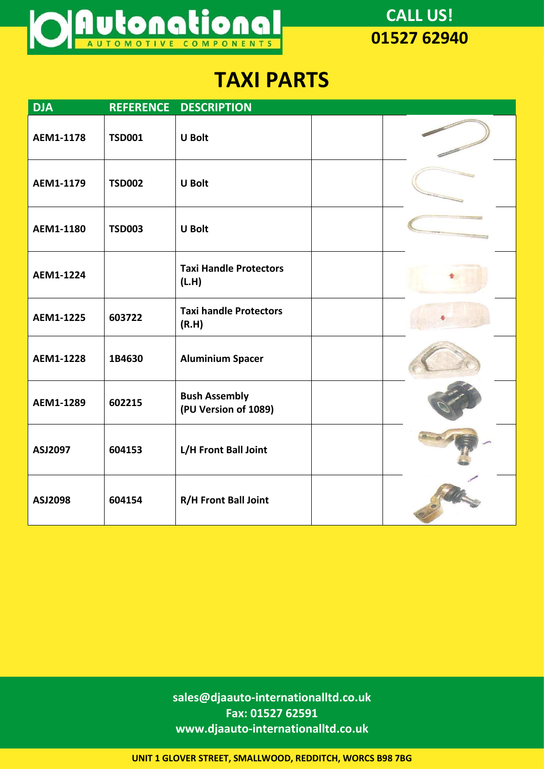

## **TAXI PARTS**

| <b>DJA</b> | <b>REFERENCE</b> | <b>DESCRIPTION</b>                           |  |
|------------|------------------|----------------------------------------------|--|
| AEM1-1178  | <b>TSD001</b>    | <b>U Bolt</b>                                |  |
| AEM1-1179  | <b>TSD002</b>    | <b>U</b> Bolt                                |  |
| AEM1-1180  | <b>TSD003</b>    | <b>U</b> Bolt                                |  |
| AEM1-1224  |                  | <b>Taxi Handle Protectors</b><br>(L.H)       |  |
| AEM1-1225  | 603722           | <b>Taxi handle Protectors</b><br>(R.H)       |  |
| AEM1-1228  | 1B4630           | <b>Aluminium Spacer</b>                      |  |
| AEM1-1289  | 602215           | <b>Bush Assembly</b><br>(PU Version of 1089) |  |
| ASJ2097    | 604153           | L/H Front Ball Joint                         |  |
| ASJ2098    | 604154           | R/H Front Ball Joint                         |  |

**sales@djaauto-internationalltd.co.uk Fax: 01527 62591 www.djaauto-internationalltd.co.uk**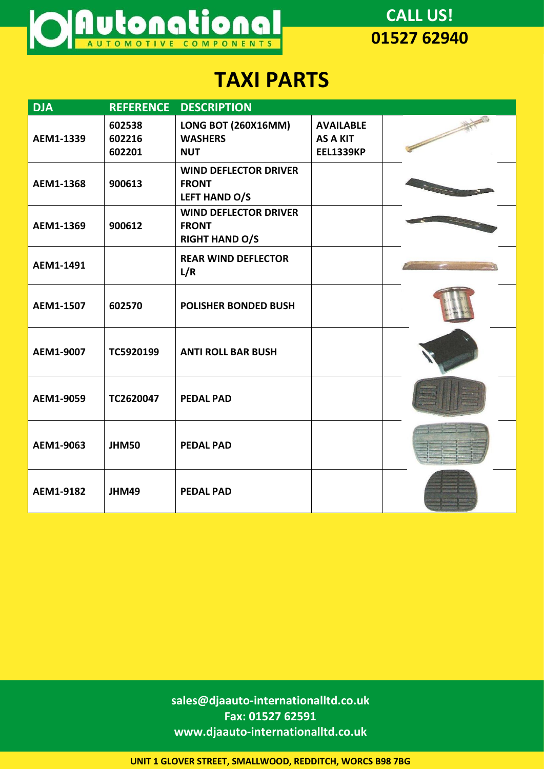

## **TAXI PARTS**

| <b>DJA</b> | <b>REFERENCE</b>           | <b>DESCRIPTION</b>                                                    |                                                         |  |
|------------|----------------------------|-----------------------------------------------------------------------|---------------------------------------------------------|--|
| AEM1-1339  | 602538<br>602216<br>602201 | <b>LONG BOT (260X16MM)</b><br><b>WASHERS</b><br><b>NUT</b>            | <b>AVAILABLE</b><br><b>AS A KIT</b><br><b>EEL1339KP</b> |  |
| AEM1-1368  | 900613                     | <b>WIND DEFLECTOR DRIVER</b><br><b>FRONT</b><br>LEFT HAND O/S         |                                                         |  |
| AEM1-1369  | 900612                     | <b>WIND DEFLECTOR DRIVER</b><br><b>FRONT</b><br><b>RIGHT HAND O/S</b> |                                                         |  |
| AEM1-1491  |                            | <b>REAR WIND DEFLECTOR</b><br>L/R                                     |                                                         |  |
| AEM1-1507  | 602570                     | <b>POLISHER BONDED BUSH</b>                                           |                                                         |  |
| AEM1-9007  | TC5920199                  | <b>ANTI ROLL BAR BUSH</b>                                             |                                                         |  |
| AEM1-9059  | TC2620047                  | <b>PEDAL PAD</b>                                                      |                                                         |  |
| AEM1-9063  | <b>JHM50</b>               | <b>PEDAL PAD</b>                                                      |                                                         |  |
| AEM1-9182  | JHM49                      | <b>PEDAL PAD</b>                                                      |                                                         |  |

**sales@djaauto-internationalltd.co.uk Fax: 01527 62591 www.djaauto-internationalltd.co.uk**